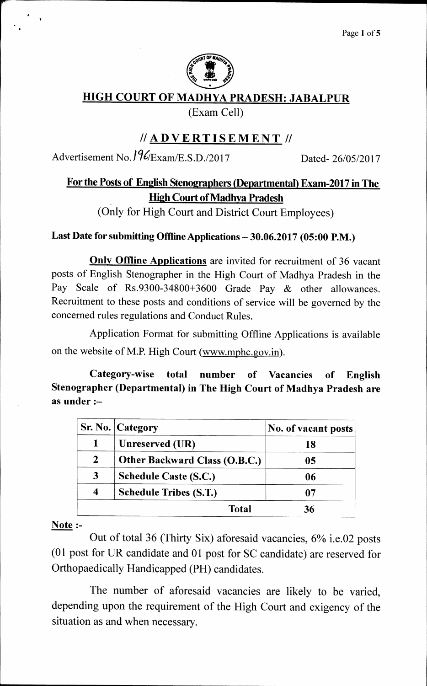

## **HIGH COURT OF MADHYA PRADESH: JABALPUR**

**(Exam Cell)** 

# **//ADVERTISEMENT II**

**Advertisement No.** *I* **V/Exam/E.S.D./2017 Dated- 26/05/2017** 

# **For the Posts of English Stenographers (Departmental) Exam-2017 in The High Court of Madhya Pradesh**

**(Only for High Court and District Court Employees)** 

#### **Last Date for submitting Offline Applications — 30.06.2017 (05:00 P.M.)**

**Only Offline Applications are invited for recruitment of 36 vacant posts of English Stenographer in the High Court of Madhya Pradesh in the Pay Scale of Rs.9300-34800+3600 Grade Pay & other allowances. Recruitment to these posts and conditions of service will be governed by the concerned rules regulations and Conduct Rules.** 

**Application Format for submitting Offline Applications is available on the website of M.P. High Court (www.mphc.gov.in).** 

**Category-wise total number of Vacancies of English Stenographer (Departmental) in The High Court of Madhya Pradesh are as under :—** 

|              | <b>Sr. No. Category</b>       | No. of vacant posts |
|--------------|-------------------------------|---------------------|
|              | Unreserved (UR)               | 18                  |
| $\mathbf{2}$ | Other Backward Class (O.B.C.) | 05                  |
| $\mathbf{3}$ | <b>Schedule Caste (S.C.)</b>  | 06                  |
|              | <b>Schedule Tribes (S.T.)</b> | 07                  |
|              | Total                         | 36                  |

**Note** :-

**Out of total 36 (Thirty Six) aforesaid vacancies, 6% i.e.02 posts (01 post for UR candidate and 01 post for SC candidate) are reserved for Orthopaedically Handicapped (PH) candidates.** 

**The number of aforesaid vacancies are likely to be varied, depending upon the requirement of the High Court and exigency of the situation as and when necessary.**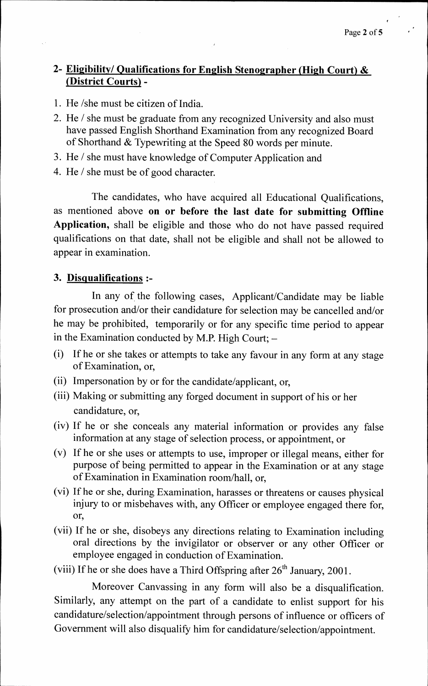#### **2- Eligibility/ Qualifications for English Stenographer (High Court) & (District Courts) -**

- **1. He /she must be citizen of India.**
- **2. He / she must be graduate from any recognized University and also must have passed English Shorthand Examination from any recognized Board of Shorthand & Typewriting at the Speed 80 words per minute.**
- **3. He / she must have knowledge of Computer Application and**
- **4. He / she must be of good character.**

**The candidates, who have acquired all Educational Qualifications, as mentioned above on or before the last date for submitting Offline Application, shall be eligible and those who do not have passed required qualifications on that date, shall not be eligible and shall not be allowed to appear in examination.** 

#### **3. Disqualifications :-**

**In any of the following cases, Applicant/Candidate may be liable for prosecution and/or their candidature for selection may be cancelled and/or he may be prohibited, temporarily or for any specific time period to appear in the Examination conducted by M.P. High Court; —** 

- **(i) If he or she takes or attempts to take any favour in any form at any stage of Examination, or,**
- **(ii) Impersonation by or for the candidate/applicant, or,**
- **(iii) Making or submitting any forged document in support of his or her candidature, or,**
- **(iv) If he or she conceals any material information or provides any false information at any stage of selection process, or appointment, or**
- **(v) If he or she uses or attempts to use, improper or illegal means, either for purpose of being permitted to appear in the Examination or at any stage of Examination in Examination room/hall, or,**
- **(vi) If he or she, during Examination, harasses or threatens or causes physical injury to or misbehaves with, any Officer or employee engaged there for, or,**
- **(vii) If he or she, disobeys any directions relating to Examination including oral directions by the invigilator or observer or any other Officer or employee engaged in conduction of Examination.**
- (viii) If he or she does have a Third Offspring after 26<sup>th</sup> January, 2001.

**Moreover Canvassing in any form will also be a disqualification. Similarly, any attempt on the part of a candidate to enlist support for his candidature/selection/appointment through persons of influence or officers of Government will also disqualify him for candidature/selection/appointment.**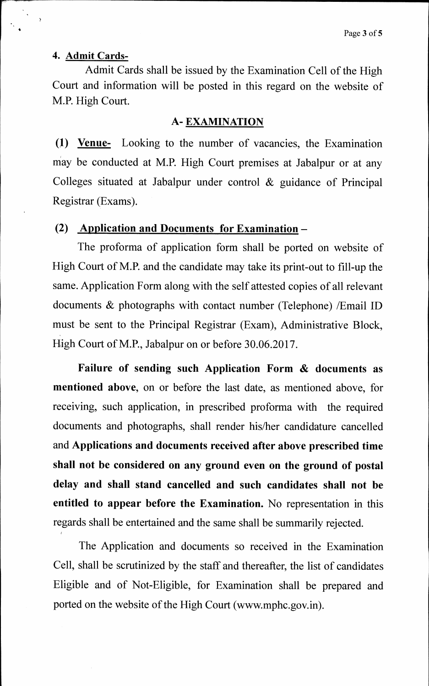#### **4. Admit Cards-**

**Admit Cards shall be issued by the Examination Cell of the High Court and information will be posted in this regard on the website of M.P. High Court.** 

#### **A- EXAMINATION**

**(1) Venue- Looking to the number of vacancies, the Examination May be conducted at M.P. High Court premises at Jabalpur or at any Colleges situated at Jabalpur under control & guidance of Principal Registrar (Exams).** 

#### **(2) Application and Documents for Examination —**

**The proforma of application form shall be ported on website of High Court of M.P. and the candidate may take its print-out to fill-up the same. Application Form along with the self attested copies of all relevant documents & photographs with contact number (Telephone) /Email ID must be sent to the Principal Registrar (Exam), Administrative Block, High Court of M.P., Jabalpur on or before 30.06.2017.** 

**Failure of sending such Application Form & documents as mentioned above, on or before the last date, as mentioned above, for receiving, such application, in prescribed proforma with the required documents and photographs, shall render his/her candidature cancelled and Applications and documents received after above prescribed time shall not be considered on any ground even on the ground of postal delay and shall stand cancelled and such candidates shall not be entitled to appear before the Examination. No representation in this regards shall be entertained and the same shall be summarily rejected.** 

**The Application and documents so received in the Examination Cell, shall be scrutinized by the staff and thereafter, the list of candidates Eligible and of Not-Eligible, for Examination shall be prepared and ported on the website of the High Court (www.mphc.gov.in).**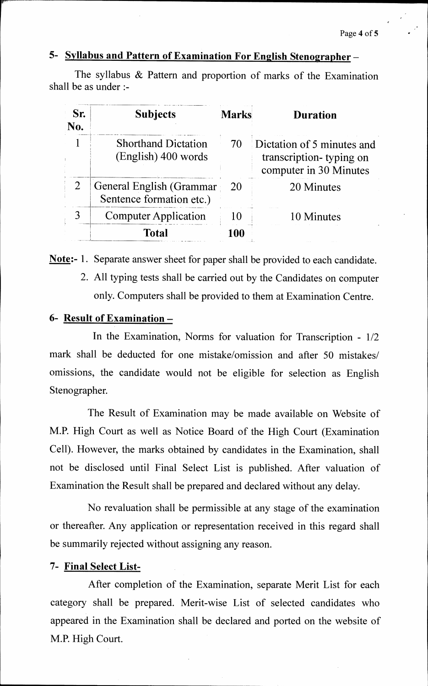# **5- Syllabus and Pattern of Examination For English Stenographer —**

**The syllabus & Pattern and proportion of marks of the Examination shall be as under :-** 

| Sr.<br>No. | <b>Subjects</b>                                      | <b>Marks</b> | <b>Duration</b>                                                                 |
|------------|------------------------------------------------------|--------------|---------------------------------------------------------------------------------|
|            | <b>Shorthand Dictation</b><br>(English) 400 words    | 70           | Dictation of 5 minutes and<br>transcription-typing on<br>computer in 30 Minutes |
|            | General English (Grammar<br>Sentence formation etc.) | <b>20</b>    | 20 Minutes                                                                      |
|            | <b>Computer Application</b>                          | 10           | 10 Minutes                                                                      |
|            | <b>Total</b>                                         | 100          |                                                                                 |

**Note:- 1. Separate answer sheet for paper shall be provided to each candidate.** 

**2. All typing tests shall be carried out by the Candidates on computer only. Computers shall be provided to them at Examination Centre.** 

#### **6- Result of Examination —**

**In the Examination, Norms for valuation for Transcription - 1/2 mark shall be deducted for one mistake/omission and after 50 mistakes/ omissions, the candidate would not be eligible for selection as English Stenographer.** 

**The Result of Examination may be made available on Website of M.P. High Court as well as Notice Board of the High Court (Examination Cell). However, the marks obtained by candidates in the Examination, shall not be disclosed until Final Select List is published. After valuation of Examination the Result shall be prepared and declared without any delay.** 

**No revaluation shall be permissible at any stage of the examination or thereafter. Any application or representation received in this regard shall be summarily rejected without assigning any reason.** 

#### **7- Final Select List-**

**After completion of the Examination, separate Merit List for each category shall be prepared. Merit-wise List of selected candidates who appeared in the Examination shall be declared and ported on the website of M.P. High Court.**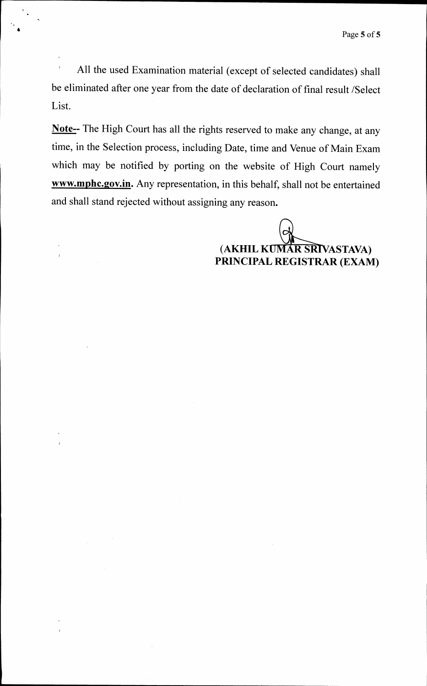**All the used Examination material (except of selected candidates) shall be eliminated after one year from the date of declaration of final result /Select List.** 

**Note-- The High Court has all the rights reserved to make any change, at any time, in the Selection process, including Date, time and Venue of Main Exam which may be notified by porting on the website of High Court namely www.mphc.gov.in. Any representation, in this behalf, shall not be entertained and shall stand rejected without assigning any reason.** 

> **(AKHIL KUMAR SRIVASTAVA) PRINCIPAL REGISTRAR (EXAM)**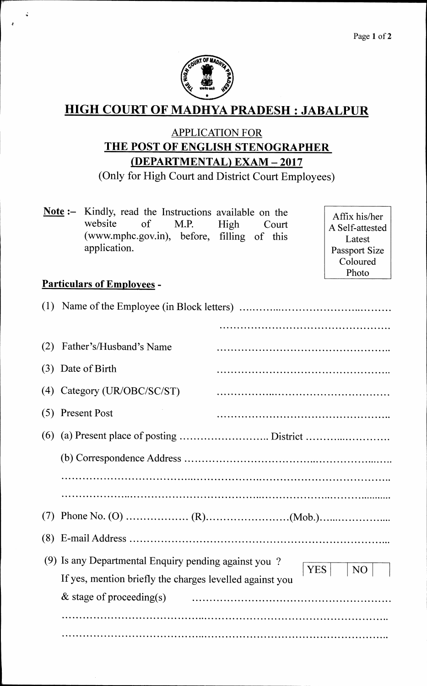

# **HIGH COURT OF MADHYA PRADESH : JABALPUR**

# **APPLICATION FOR THE POST OF ENGLISH STENOGRAPHER (DEPARTMENTAL) EXAM — 2017**

**(Only for High Court and District Court Employees)** 

**Note :— Kindly, read the Instructions available on the website of M.P. High Court (www.mphc.gov.in), before, filling of this application.** 

**Affix his/her A Self-attested Latest Passport Size Coloured Photo** 

## **Particulars of Employees -**

 $\zeta$ 

| (1) |                                                                                     |  |  |  |  |
|-----|-------------------------------------------------------------------------------------|--|--|--|--|
|     |                                                                                     |  |  |  |  |
| (2) | Father's/Husband's Name                                                             |  |  |  |  |
| (3) | Date of Birth                                                                       |  |  |  |  |
| (4) | Category (UR/OBC/SC/ST)                                                             |  |  |  |  |
| (5) | <b>Present Post</b>                                                                 |  |  |  |  |
| (6) |                                                                                     |  |  |  |  |
|     |                                                                                     |  |  |  |  |
|     |                                                                                     |  |  |  |  |
|     |                                                                                     |  |  |  |  |
| (7) |                                                                                     |  |  |  |  |
| (8) |                                                                                     |  |  |  |  |
| (9) | Is any Departmental Enquiry pending against you?                                    |  |  |  |  |
|     | YES  <br>N <sub>O</sub><br>If yes, mention briefly the charges levelled against you |  |  |  |  |
|     | $\&$ stage of proceeding(s)                                                         |  |  |  |  |
|     |                                                                                     |  |  |  |  |
|     |                                                                                     |  |  |  |  |